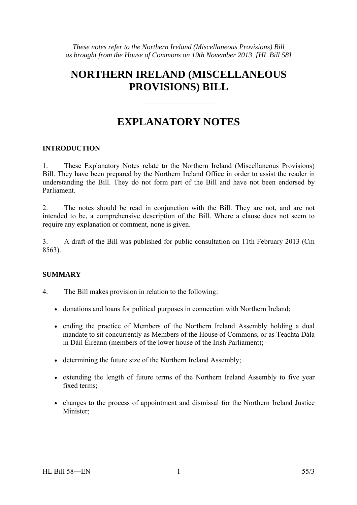# **NORTHERN IRELAND (MISCELLANEOUS PROVISIONS) BILL**

# **EXPLANATORY NOTES**

——————————

#### **INTRODUCTION**

1. These Explanatory Notes relate to the Northern Ireland (Miscellaneous Provisions) Bill. They have been prepared by the Northern Ireland Office in order to assist the reader in understanding the Bill. They do not form part of the Bill and have not been endorsed by Parliament.

2. The notes should be read in conjunction with the Bill. They are not, and are not intended to be, a comprehensive description of the Bill. Where a clause does not seem to require any explanation or comment, none is given.

3. A draft of the Bill was published for public consultation on 11th February 2013 (Cm 8563).

## **SUMMARY**

- 4. The Bill makes provision in relation to the following:
	- donations and loans for political purposes in connection with Northern Ireland;
	- ending the practice of Members of the Northern Ireland Assembly holding a dual mandate to sit concurrently as Members of the House of Commons, or as Teachta Dála in Dáil Éireann (members of the lower house of the Irish Parliament);
	- determining the future size of the Northern Ireland Assembly;
	- extending the length of future terms of the Northern Ireland Assembly to five year fixed terms;
	- changes to the process of appointment and dismissal for the Northern Ireland Justice Minister<sup>:</sup>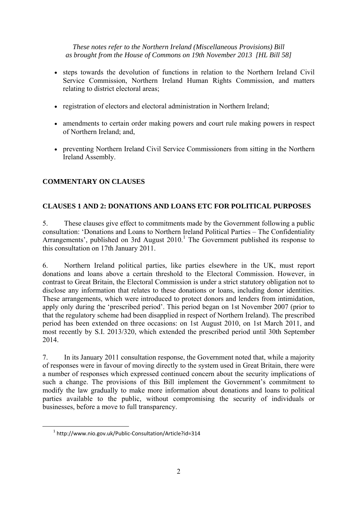- steps towards the devolution of functions in relation to the Northern Ireland Civil Service Commission, Northern Ireland Human Rights Commission, and matters relating to district electoral areas;
- registration of electors and electoral administration in Northern Ireland;
- amendments to certain order making powers and court rule making powers in respect of Northern Ireland; and,
- preventing Northern Ireland Civil Service Commissioners from sitting in the Northern Ireland Assembly.

# **COMMENTARY ON CLAUSES**

## **CLAUSES 1 AND 2: DONATIONS AND LOANS ETC FOR POLITICAL PURPOSES**

5. These clauses give effect to commitments made by the Government following a public consultation: 'Donations and Loans to Northern Ireland Political Parties – The Confidentiality Arrangements', published on 3rd August  $2010<sup>1</sup>$  The Government published its response to this consultation on 17th January 2011.

6. Northern Ireland political parties, like parties elsewhere in the UK, must report donations and loans above a certain threshold to the Electoral Commission. However, in contrast to Great Britain, the Electoral Commission is under a strict statutory obligation not to disclose any information that relates to these donations or loans, including donor identities. These arrangements, which were introduced to protect donors and lenders from intimidation, apply only during the 'prescribed period'. This period began on 1st November 2007 (prior to that the regulatory scheme had been disapplied in respect of Northern Ireland). The prescribed period has been extended on three occasions: on 1st August 2010, on 1st March 2011, and most recently by S.I. 2013/320, which extended the prescribed period until 30th September 2014.

7. In its January 2011 consultation response, the Government noted that, while a majority of responses were in favour of moving directly to the system used in Great Britain, there were a number of responses which expressed continued concern about the security implications of such a change. The provisions of this Bill implement the Government's commitment to modify the law gradually to make more information about donations and loans to political parties available to the public, without compromising the security of individuals or businesses, before a move to full transparency.

 $\overline{a}$ 

<sup>1</sup> http://www.nio.gov.uk/Public‐Consultation/Article?id=314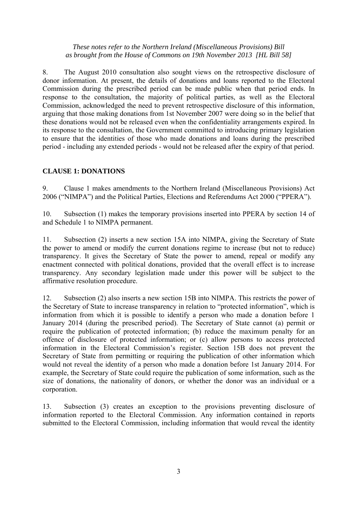8. The August 2010 consultation also sought views on the retrospective disclosure of donor information. At present, the details of donations and loans reported to the Electoral Commission during the prescribed period can be made public when that period ends. In response to the consultation, the majority of political parties, as well as the Electoral Commission, acknowledged the need to prevent retrospective disclosure of this information, arguing that those making donations from 1st November 2007 were doing so in the belief that these donations would not be released even when the confidentiality arrangements expired. In its response to the consultation, the Government committed to introducing primary legislation to ensure that the identities of those who made donations and loans during the prescribed period - including any extended periods - would not be released after the expiry of that period.

## **CLAUSE 1: DONATIONS**

9. Clause 1 makes amendments to the Northern Ireland (Miscellaneous Provisions) Act 2006 ("NIMPA") and the Political Parties, Elections and Referendums Act 2000 ("PPERA").

10. Subsection (1) makes the temporary provisions inserted into PPERA by section 14 of and Schedule 1 to NIMPA permanent.

11. Subsection (2) inserts a new section 15A into NIMPA, giving the Secretary of State the power to amend or modify the current donations regime to increase (but not to reduce) transparency. It gives the Secretary of State the power to amend, repeal or modify any enactment connected with political donations, provided that the overall effect is to increase transparency. Any secondary legislation made under this power will be subject to the affirmative resolution procedure.

12. Subsection (2) also inserts a new section 15B into NIMPA. This restricts the power of the Secretary of State to increase transparency in relation to "protected information", which is information from which it is possible to identify a person who made a donation before 1 January 2014 (during the prescribed period). The Secretary of State cannot (a) permit or require the publication of protected information; (b) reduce the maximum penalty for an offence of disclosure of protected information; or (c) allow persons to access protected information in the Electoral Commission's register. Section 15B does not prevent the Secretary of State from permitting or requiring the publication of other information which would not reveal the identity of a person who made a donation before 1st January 2014. For example, the Secretary of State could require the publication of some information, such as the size of donations, the nationality of donors, or whether the donor was an individual or a corporation.

13. Subsection (3) creates an exception to the provisions preventing disclosure of information reported to the Electoral Commission. Any information contained in reports submitted to the Electoral Commission, including information that would reveal the identity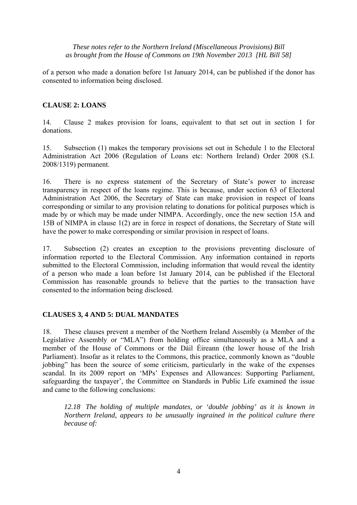of a person who made a donation before 1st January 2014, can be published if the donor has consented to information being disclosed.

## **CLAUSE 2: LOANS**

14. Clause 2 makes provision for loans, equivalent to that set out in section 1 for donations.

15. Subsection (1) makes the temporary provisions set out in Schedule 1 to the Electoral Administration Act 2006 (Regulation of Loans etc: Northern Ireland) Order 2008 (S.I. 2008/1319) permanent.

16. There is no express statement of the Secretary of State's power to increase transparency in respect of the loans regime. This is because, under section 63 of Electoral Administration Act 2006, the Secretary of State can make provision in respect of loans corresponding or similar to any provision relating to donations for political purposes which is made by or which may be made under NIMPA. Accordingly, once the new section 15A and 15B of NIMPA in clause 1(2) are in force in respect of donations, the Secretary of State will have the power to make corresponding or similar provision in respect of loans.

17. Subsection (2) creates an exception to the provisions preventing disclosure of information reported to the Electoral Commission. Any information contained in reports submitted to the Electoral Commission, including information that would reveal the identity of a person who made a loan before 1st January 2014, can be published if the Electoral Commission has reasonable grounds to believe that the parties to the transaction have consented to the information being disclosed.

## **CLAUSES 3, 4 AND 5: DUAL MANDATES**

18. These clauses prevent a member of the Northern Ireland Assembly (a Member of the Legislative Assembly or "MLA") from holding office simultaneously as a MLA and a member of the House of Commons or the Dáil Éireann (the lower house of the Irish Parliament). Insofar as it relates to the Commons, this practice, commonly known as "double jobbing" has been the source of some criticism, particularly in the wake of the expenses scandal. In its 2009 report on 'MPs' Expenses and Allowances: Supporting Parliament, safeguarding the taxpayer', the Committee on Standards in Public Life examined the issue and came to the following conclusions:

 *12.18 The holding of multiple mandates, or 'double jobbing' as it is known in Northern Ireland, appears to be unusually ingrained in the political culture there because of:*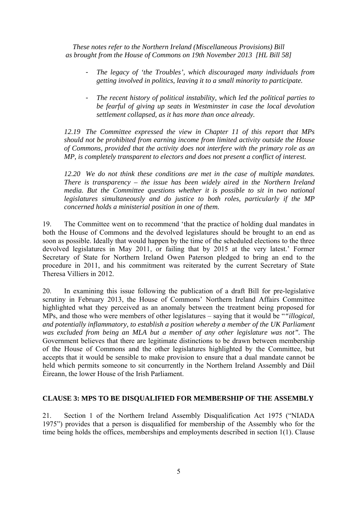- *The legacy of 'the Troubles', which discouraged many individuals from getting involved in politics, leaving it to a small minority to participate.*
- *The recent history of political instability, which led the political parties to be fearful of giving up seats in Westminster in case the local devolution settlement collapsed, as it has more than once already.*

 *12.19 The Committee expressed the view in Chapter 11 of this report that MPs should not be prohibited from earning income from limited activity outside the House of Commons, provided that the activity does not interfere with the primary role as an MP, is completely transparent to electors and does not present a conflict of interest.* 

 *12.20 We do not think these conditions are met in the case of multiple mandates. There is transparency – the issue has been widely aired in the Northern Ireland media. But the Committee questions whether it is possible to sit in two national legislatures simultaneously and do justice to both roles, particularly if the MP concerned holds a ministerial position in one of them.* 

19. The Committee went on to recommend 'that the practice of holding dual mandates in both the House of Commons and the devolved legislatures should be brought to an end as soon as possible. Ideally that would happen by the time of the scheduled elections to the three devolved legislatures in May 2011, or failing that by 2015 at the very latest.' Former Secretary of State for Northern Ireland Owen Paterson pledged to bring an end to the procedure in 2011, and his commitment was reiterated by the current Secretary of State Theresa Villiers in 2012.

20. In examining this issue following the publication of a draft Bill for pre-legislative scrutiny in February 2013, the House of Commons' Northern Ireland Affairs Committee highlighted what they perceived as an anomaly between the treatment being proposed for MPs, and those who were members of other legislatures – saying that it would be "*"illogical, and potentially inflammatory, to establish a position whereby a member of the UK Parliament*  was excluded from being an MLA but a member of any other legislature was not". The Government believes that there are legitimate distinctions to be drawn between membership of the House of Commons and the other legislatures highlighted by the Committee, but accepts that it would be sensible to make provision to ensure that a dual mandate cannot be held which permits someone to sit concurrently in the Northern Ireland Assembly and Dáil Éireann, the lower House of the Irish Parliament.

## **CLAUSE 3: MPS TO BE DISQUALIFIED FOR MEMBERSHIP OF THE ASSEMBLY**

21. Section 1 of the Northern Ireland Assembly Disqualification Act 1975 ("NIADA 1975") provides that a person is disqualified for membership of the Assembly who for the time being holds the offices, memberships and employments described in section 1(1). Clause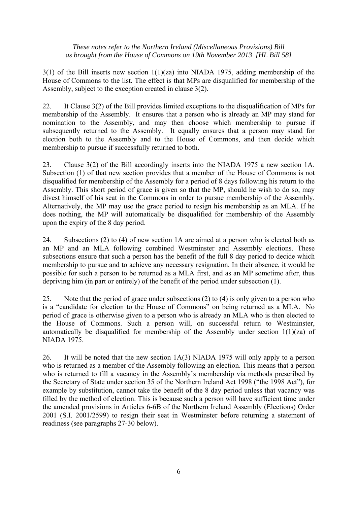3(1) of the Bill inserts new section 1(1)(za) into NIADA 1975, adding membership of the House of Commons to the list. The effect is that MPs are disqualified for membership of the Assembly, subject to the exception created in clause 3(2).

22. It Clause 3(2) of the Bill provides limited exceptions to the disqualification of MPs for membership of the Assembly. It ensures that a person who is already an MP may stand for nomination to the Assembly, and may then choose which membership to pursue if subsequently returned to the Assembly. It equally ensures that a person may stand for election both to the Assembly and to the House of Commons, and then decide which membership to pursue if successfully returned to both.

23. Clause 3(2) of the Bill accordingly inserts into the NIADA 1975 a new section 1A. Subsection (1) of that new section provides that a member of the House of Commons is not disqualified for membership of the Assembly for a period of 8 days following his return to the Assembly. This short period of grace is given so that the MP, should he wish to do so, may divest himself of his seat in the Commons in order to pursue membership of the Assembly. Alternatively, the MP may use the grace period to resign his membership as an MLA. If he does nothing, the MP will automatically be disqualified for membership of the Assembly upon the expiry of the 8 day period.

24. Subsections (2) to (4) of new section 1A are aimed at a person who is elected both as an MP and an MLA following combined Westminster and Assembly elections. These subsections ensure that such a person has the benefit of the full 8 day period to decide which membership to pursue and to achieve any necessary resignation. In their absence, it would be possible for such a person to be returned as a MLA first, and as an MP sometime after, thus depriving him (in part or entirely) of the benefit of the period under subsection (1).

25. Note that the period of grace under subsections (2) to (4) is only given to a person who is a "candidate for election to the House of Commons" on being returned as a MLA. No period of grace is otherwise given to a person who is already an MLA who is then elected to the House of Commons. Such a person will, on successful return to Westminster, automatically be disqualified for membership of the Assembly under section 1(1)(za) of NIADA 1975.

26. It will be noted that the new section 1A(3) NIADA 1975 will only apply to a person who is returned as a member of the Assembly following an election. This means that a person who is returned to fill a vacancy in the Assembly's membership via methods prescribed by the Secretary of State under section 35 of the Northern Ireland Act 1998 ("the 1998 Act"), for example by substitution, cannot take the benefit of the 8 day period unless that vacancy was filled by the method of election. This is because such a person will have sufficient time under the amended provisions in Articles 6-6B of the Northern Ireland Assembly (Elections) Order 2001 (S.I. 2001/2599) to resign their seat in Westminster before returning a statement of readiness (see paragraphs 27-30 below).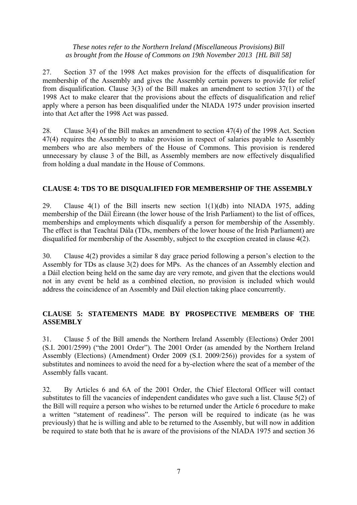27. Section 37 of the 1998 Act makes provision for the effects of disqualification for membership of the Assembly and gives the Assembly certain powers to provide for relief from disqualification. Clause 3(3) of the Bill makes an amendment to section 37(1) of the 1998 Act to make clearer that the provisions about the effects of disqualification and relief apply where a person has been disqualified under the NIADA 1975 under provision inserted into that Act after the 1998 Act was passed.

28. Clause 3(4) of the Bill makes an amendment to section 47(4) of the 1998 Act. Section 47(4) requires the Assembly to make provision in respect of salaries payable to Assembly members who are also members of the House of Commons. This provision is rendered unnecessary by clause 3 of the Bill, as Assembly members are now effectively disqualified from holding a dual mandate in the House of Commons.

## **CLAUSE 4: TDS TO BE DISQUALIFIED FOR MEMBERSHIP OF THE ASSEMBLY**

29. Clause 4(1) of the Bill inserts new section 1(1)(db) into NIADA 1975, adding membership of the Dáil Éireann (the lower house of the Irish Parliament) to the list of offices, memberships and employments which disqualify a person for membership of the Assembly. The effect is that Teachtaí Dála (TDs, members of the lower house of the Irish Parliament) are disqualified for membership of the Assembly, subject to the exception created in clause 4(2).

30. Clause 4(2) provides a similar 8 day grace period following a person's election to the Assembly for TDs as clause 3(2) does for MPs. As the chances of an Assembly election and a Dáil election being held on the same day are very remote, and given that the elections would not in any event be held as a combined election, no provision is included which would address the coincidence of an Assembly and Dáil election taking place concurrently.

## **CLAUSE 5: STATEMENTS MADE BY PROSPECTIVE MEMBERS OF THE ASSEMBLY**

31. Clause 5 of the Bill amends the Northern Ireland Assembly (Elections) Order 2001 (S.I. 2001/2599) ("the 2001 Order"). The 2001 Order (as amended by the Northern Ireland Assembly (Elections) (Amendment) Order 2009 (S.I. 2009/256)) provides for a system of substitutes and nominees to avoid the need for a by-election where the seat of a member of the Assembly falls vacant.

32. By Articles 6 and 6A of the 2001 Order, the Chief Electoral Officer will contact substitutes to fill the vacancies of independent candidates who gave such a list. Clause 5(2) of the Bill will require a person who wishes to be returned under the Article 6 procedure to make a written "statement of readiness". The person will be required to indicate (as he was previously) that he is willing and able to be returned to the Assembly, but will now in addition be required to state both that he is aware of the provisions of the NIADA 1975 and section 36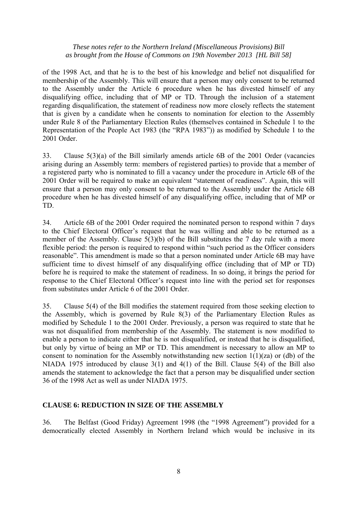of the 1998 Act, and that he is to the best of his knowledge and belief not disqualified for membership of the Assembly. This will ensure that a person may only consent to be returned to the Assembly under the Article 6 procedure when he has divested himself of any disqualifying office, including that of MP or TD. Through the inclusion of a statement regarding disqualification, the statement of readiness now more closely reflects the statement that is given by a candidate when he consents to nomination for election to the Assembly under Rule 8 of the Parliamentary Election Rules (themselves contained in Schedule 1 to the Representation of the People Act 1983 (the "RPA 1983")) as modified by Schedule 1 to the 2001 Order.

33. Clause 5(3)(a) of the Bill similarly amends article 6B of the 2001 Order (vacancies arising during an Assembly term: members of registered parties) to provide that a member of a registered party who is nominated to fill a vacancy under the procedure in Article 6B of the 2001 Order will be required to make an equivalent "statement of readiness". Again, this will ensure that a person may only consent to be returned to the Assembly under the Article 6B procedure when he has divested himself of any disqualifying office, including that of MP or TD.

34. Article 6B of the 2001 Order required the nominated person to respond within 7 days to the Chief Electoral Officer's request that he was willing and able to be returned as a member of the Assembly. Clause 5(3)(b) of the Bill substitutes the 7 day rule with a more flexible period: the person is required to respond within "such period as the Officer considers reasonable". This amendment is made so that a person nominated under Article 6B may have sufficient time to divest himself of any disqualifying office (including that of MP or TD) before he is required to make the statement of readiness. In so doing, it brings the period for response to the Chief Electoral Officer's request into line with the period set for responses from substitutes under Article 6 of the 2001 Order.

35. Clause 5(4) of the Bill modifies the statement required from those seeking election to the Assembly, which is governed by Rule 8(3) of the Parliamentary Election Rules as modified by Schedule 1 to the 2001 Order. Previously, a person was required to state that he was not disqualified from membership of the Assembly. The statement is now modified to enable a person to indicate either that he is not disqualified, or instead that he is disqualified, but only by virtue of being an MP or TD. This amendment is necessary to allow an MP to consent to nomination for the Assembly notwithstanding new section  $1(1)(za)$  or (db) of the NIADA 1975 introduced by clause 3(1) and 4(1) of the Bill. Clause 5(4) of the Bill also amends the statement to acknowledge the fact that a person may be disqualified under section 36 of the 1998 Act as well as under NIADA 1975.

## **CLAUSE 6: REDUCTION IN SIZE OF THE ASSEMBLY**

36. The Belfast (Good Friday) Agreement 1998 (the "1998 Agreement") provided for a democratically elected Assembly in Northern Ireland which would be inclusive in its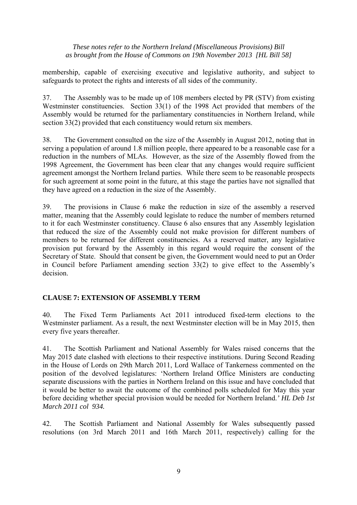membership, capable of exercising executive and legislative authority, and subject to safeguards to protect the rights and interests of all sides of the community.

37. The Assembly was to be made up of 108 members elected by PR (STV) from existing Westminster constituencies. Section 33(1) of the 1998 Act provided that members of the Assembly would be returned for the parliamentary constituencies in Northern Ireland, while section 33(2) provided that each constituency would return six members.

38. The Government consulted on the size of the Assembly in August 2012, noting that in serving a population of around 1.8 million people, there appeared to be a reasonable case for a reduction in the numbers of MLAs. However, as the size of the Assembly flowed from the 1998 Agreement, the Government has been clear that any changes would require sufficient agreement amongst the Northern Ireland parties. While there seem to be reasonable prospects for such agreement at some point in the future, at this stage the parties have not signalled that they have agreed on a reduction in the size of the Assembly.

39. The provisions in Clause 6 make the reduction in size of the assembly a reserved matter, meaning that the Assembly could legislate to reduce the number of members returned to it for each Westminster constituency. Clause 6 also ensures that any Assembly legislation that reduced the size of the Assembly could not make provision for different numbers of members to be returned for different constituencies. As a reserved matter, any legislative provision put forward by the Assembly in this regard would require the consent of the Secretary of State. Should that consent be given, the Government would need to put an Order in Council before Parliament amending section 33(2) to give effect to the Assembly's decision.

## **CLAUSE 7: EXTENSION OF ASSEMBLY TERM**

40. The Fixed Term Parliaments Act 2011 introduced fixed-term elections to the Westminster parliament. As a result, the next Westminster election will be in May 2015, then every five years thereafter.

41. The Scottish Parliament and National Assembly for Wales raised concerns that the May 2015 date clashed with elections to their respective institutions. During Second Reading in the House of Lords on 29th March 2011, Lord Wallace of Tankerness commented on the position of the devolved legislatures: 'Northern Ireland Office Ministers are conducting separate discussions with the parties in Northern Ireland on this issue and have concluded that it would be better to await the outcome of the combined polls scheduled for May this year before deciding whether special provision would be needed for Northern Ireland.*' HL Deb 1st March 2011 col 934.*

42. The Scottish Parliament and National Assembly for Wales subsequently passed resolutions (on 3rd March 2011 and 16th March 2011, respectively) calling for the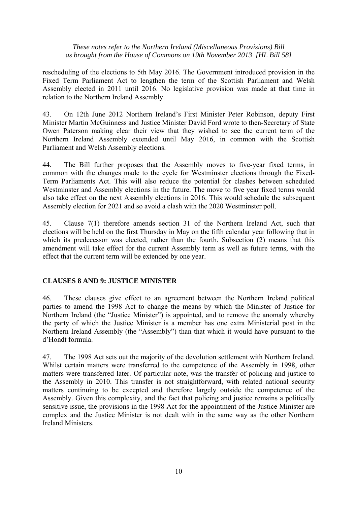rescheduling of the elections to 5th May 2016. The Government introduced provision in the Fixed Term Parliament Act to lengthen the term of the Scottish Parliament and Welsh Assembly elected in 2011 until 2016. No legislative provision was made at that time in relation to the Northern Ireland Assembly.

43. On 12th June 2012 Northern Ireland's First Minister Peter Robinson, deputy First Minister Martin McGuinness and Justice Minister David Ford wrote to then-Secretary of State Owen Paterson making clear their view that they wished to see the current term of the Northern Ireland Assembly extended until May 2016, in common with the Scottish Parliament and Welsh Assembly elections.

44. The Bill further proposes that the Assembly moves to five-year fixed terms, in common with the changes made to the cycle for Westminster elections through the Fixed-Term Parliaments Act. This will also reduce the potential for clashes between scheduled Westminster and Assembly elections in the future. The move to five year fixed terms would also take effect on the next Assembly elections in 2016. This would schedule the subsequent Assembly election for 2021 and so avoid a clash with the 2020 Westminster poll.

45. Clause 7(1) therefore amends section 31 of the Northern Ireland Act, such that elections will be held on the first Thursday in May on the fifth calendar year following that in which its predecessor was elected, rather than the fourth. Subsection (2) means that this amendment will take effect for the current Assembly term as well as future terms, with the effect that the current term will be extended by one year.

## **CLAUSES 8 AND 9: JUSTICE MINISTER**

46. These clauses give effect to an agreement between the Northern Ireland political parties to amend the 1998 Act to change the means by which the Minister of Justice for Northern Ireland (the "Justice Minister") is appointed, and to remove the anomaly whereby the party of which the Justice Minister is a member has one extra Ministerial post in the Northern Ireland Assembly (the "Assembly") than that which it would have pursuant to the d'Hondt formula.

47. The 1998 Act sets out the majority of the devolution settlement with Northern Ireland. Whilst certain matters were transferred to the competence of the Assembly in 1998, other matters were transferred later. Of particular note, was the transfer of policing and justice to the Assembly in 2010. This transfer is not straightforward, with related national security matters continuing to be excepted and therefore largely outside the competence of the Assembly. Given this complexity, and the fact that policing and justice remains a politically sensitive issue, the provisions in the 1998 Act for the appointment of the Justice Minister are complex and the Justice Minister is not dealt with in the same way as the other Northern Ireland Ministers.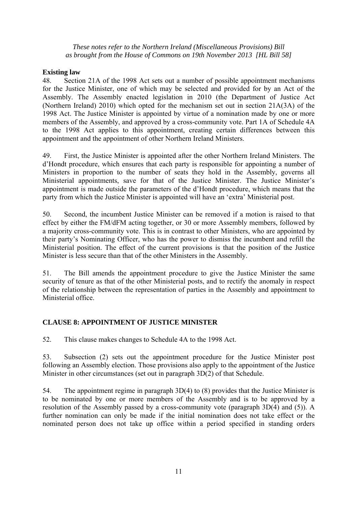#### **Existing law**

48. Section 21A of the 1998 Act sets out a number of possible appointment mechanisms for the Justice Minister, one of which may be selected and provided for by an Act of the Assembly. The Assembly enacted legislation in 2010 (the Department of Justice Act (Northern Ireland) 2010) which opted for the mechanism set out in section 21A(3A) of the 1998 Act. The Justice Minister is appointed by virtue of a nomination made by one or more members of the Assembly, and approved by a cross-community vote. Part 1A of Schedule 4A to the 1998 Act applies to this appointment, creating certain differences between this appointment and the appointment of other Northern Ireland Ministers.

49. First, the Justice Minister is appointed after the other Northern Ireland Ministers. The d'Hondt procedure, which ensures that each party is responsible for appointing a number of Ministers in proportion to the number of seats they hold in the Assembly, governs all Ministerial appointments, save for that of the Justice Minister. The Justice Minister's appointment is made outside the parameters of the d'Hondt procedure, which means that the party from which the Justice Minister is appointed will have an 'extra' Ministerial post.

50. Second, the incumbent Justice Minister can be removed if a motion is raised to that effect by either the FM/dFM acting together, or 30 or more Assembly members, followed by a majority cross-community vote. This is in contrast to other Ministers, who are appointed by their party's Nominating Officer, who has the power to dismiss the incumbent and refill the Ministerial position. The effect of the current provisions is that the position of the Justice Minister is less secure than that of the other Ministers in the Assembly.

51. The Bill amends the appointment procedure to give the Justice Minister the same security of tenure as that of the other Ministerial posts, and to rectify the anomaly in respect of the relationship between the representation of parties in the Assembly and appointment to Ministerial office.

# **CLAUSE 8: APPOINTMENT OF JUSTICE MINISTER**

52. This clause makes changes to Schedule 4A to the 1998 Act.

53. Subsection (2) sets out the appointment procedure for the Justice Minister post following an Assembly election. Those provisions also apply to the appointment of the Justice Minister in other circumstances (set out in paragraph 3D(2) of that Schedule.

54. The appointment regime in paragraph 3D(4) to (8) provides that the Justice Minister is to be nominated by one or more members of the Assembly and is to be approved by a resolution of the Assembly passed by a cross-community vote (paragraph 3D(4) and (5)). A further nomination can only be made if the initial nomination does not take effect or the nominated person does not take up office within a period specified in standing orders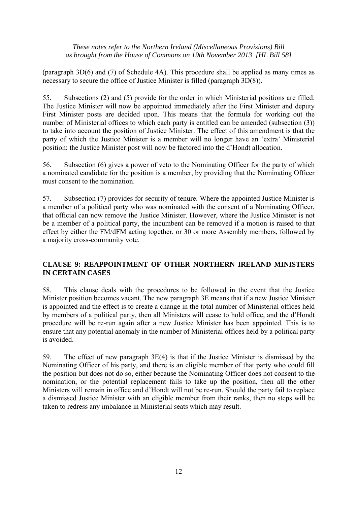(paragraph 3D(6) and (7) of Schedule 4A). This procedure shall be applied as many times as necessary to secure the office of Justice Minister is filled (paragraph 3D(8)).

55. Subsections (2) and (5) provide for the order in which Ministerial positions are filled. The Justice Minister will now be appointed immediately after the First Minister and deputy First Minister posts are decided upon. This means that the formula for working out the number of Ministerial offices to which each party is entitled can be amended (subsection (3)) to take into account the position of Justice Minister. The effect of this amendment is that the party of which the Justice Minister is a member will no longer have an 'extra' Ministerial position: the Justice Minister post will now be factored into the d'Hondt allocation.

56. Subsection (6) gives a power of veto to the Nominating Officer for the party of which a nominated candidate for the position is a member, by providing that the Nominating Officer must consent to the nomination.

57. Subsection (7) provides for security of tenure. Where the appointed Justice Minister is a member of a political party who was nominated with the consent of a Nominating Officer, that official can now remove the Justice Minister. However, where the Justice Minister is not be a member of a political party, the incumbent can be removed if a motion is raised to that effect by either the FM/dFM acting together, or 30 or more Assembly members, followed by a majority cross-community vote.

# **CLAUSE 9: REAPPOINTMENT OF OTHER NORTHERN IRELAND MINISTERS IN CERTAIN CASES**

58. This clause deals with the procedures to be followed in the event that the Justice Minister position becomes vacant. The new paragraph 3E means that if a new Justice Minister is appointed and the effect is to create a change in the total number of Ministerial offices held by members of a political party, then all Ministers will cease to hold office, and the d'Hondt procedure will be re-run again after a new Justice Minister has been appointed. This is to ensure that any potential anomaly in the number of Ministerial offices held by a political party is avoided.

59. The effect of new paragraph 3E(4) is that if the Justice Minister is dismissed by the Nominating Officer of his party, and there is an eligible member of that party who could fill the position but does not do so, either because the Nominating Officer does not consent to the nomination, or the potential replacement fails to take up the position, then all the other Ministers will remain in office and d'Hondt will not be re-run. Should the party fail to replace a dismissed Justice Minister with an eligible member from their ranks, then no steps will be taken to redress any imbalance in Ministerial seats which may result.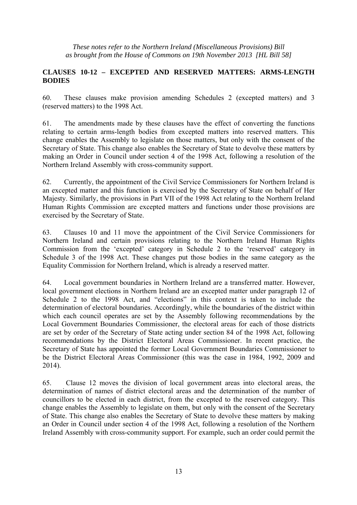## **CLAUSES 10-12 – EXCEPTED AND RESERVED MATTERS: ARMS-LENGTH BODIES**

60. These clauses make provision amending Schedules 2 (excepted matters) and 3 (reserved matters) to the 1998 Act.

61. The amendments made by these clauses have the effect of converting the functions relating to certain arms-length bodies from excepted matters into reserved matters. This change enables the Assembly to legislate on those matters, but only with the consent of the Secretary of State. This change also enables the Secretary of State to devolve these matters by making an Order in Council under section 4 of the 1998 Act, following a resolution of the Northern Ireland Assembly with cross-community support.

62. Currently, the appointment of the Civil Service Commissioners for Northern Ireland is an excepted matter and this function is exercised by the Secretary of State on behalf of Her Majesty. Similarly, the provisions in Part VII of the 1998 Act relating to the Northern Ireland Human Rights Commission are excepted matters and functions under those provisions are exercised by the Secretary of State.

63. Clauses 10 and 11 move the appointment of the Civil Service Commissioners for Northern Ireland and certain provisions relating to the Northern Ireland Human Rights Commission from the 'excepted' category in Schedule 2 to the 'reserved' category in Schedule 3 of the 1998 Act. These changes put those bodies in the same category as the Equality Commission for Northern Ireland, which is already a reserved matter.

64. Local government boundaries in Northern Ireland are a transferred matter. However, local government elections in Northern Ireland are an excepted matter under paragraph 12 of Schedule 2 to the 1998 Act, and "elections" in this context is taken to include the determination of electoral boundaries. Accordingly, while the boundaries of the district within which each council operates are set by the Assembly following recommendations by the Local Government Boundaries Commissioner, the electoral areas for each of those districts are set by order of the Secretary of State acting under section 84 of the 1998 Act, following recommendations by the District Electoral Areas Commissioner. In recent practice, the Secretary of State has appointed the former Local Government Boundaries Commissioner to be the District Electoral Areas Commissioner (this was the case in 1984, 1992, 2009 and 2014).

65. Clause 12 moves the division of local government areas into electoral areas, the determination of names of district electoral areas and the determination of the number of councillors to be elected in each district, from the excepted to the reserved category. This change enables the Assembly to legislate on them, but only with the consent of the Secretary of State. This change also enables the Secretary of State to devolve these matters by making an Order in Council under section 4 of the 1998 Act, following a resolution of the Northern Ireland Assembly with cross-community support. For example, such an order could permit the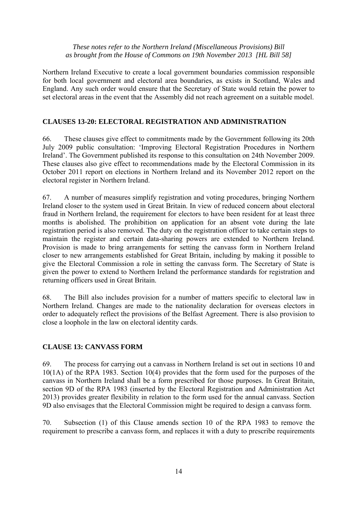Northern Ireland Executive to create a local government boundaries commission responsible for both local government and electoral area boundaries, as exists in Scotland, Wales and England. Any such order would ensure that the Secretary of State would retain the power to set electoral areas in the event that the Assembly did not reach agreement on a suitable model.

## **CLAUSES 13-20: ELECTORAL REGISTRATION AND ADMINISTRATION**

66. These clauses give effect to commitments made by the Government following its 20th July 2009 public consultation: 'Improving Electoral Registration Procedures in Northern Ireland'. The Government published its response to this consultation on 24th November 2009. These clauses also give effect to recommendations made by the Electoral Commission in its October 2011 report on elections in Northern Ireland and its November 2012 report on the electoral register in Northern Ireland.

67. A number of measures simplify registration and voting procedures, bringing Northern Ireland closer to the system used in Great Britain. In view of reduced concern about electoral fraud in Northern Ireland, the requirement for electors to have been resident for at least three months is abolished. The prohibition on application for an absent vote during the late registration period is also removed. The duty on the registration officer to take certain steps to maintain the register and certain data-sharing powers are extended to Northern Ireland. Provision is made to bring arrangements for setting the canvass form in Northern Ireland closer to new arrangements established for Great Britain, including by making it possible to give the Electoral Commission a role in setting the canvass form. The Secretary of State is given the power to extend to Northern Ireland the performance standards for registration and returning officers used in Great Britain.

68. The Bill also includes provision for a number of matters specific to electoral law in Northern Ireland. Changes are made to the nationality declaration for overseas electors in order to adequately reflect the provisions of the Belfast Agreement. There is also provision to close a loophole in the law on electoral identity cards.

## **CLAUSE 13: CANVASS FORM**

69. The process for carrying out a canvass in Northern Ireland is set out in sections 10 and 10(1A) of the RPA 1983. Section 10(4) provides that the form used for the purposes of the canvass in Northern Ireland shall be a form prescribed for those purposes. In Great Britain, section 9D of the RPA 1983 (inserted by the Electoral Registration and Administration Act 2013) provides greater flexibility in relation to the form used for the annual canvass. Section 9D also envisages that the Electoral Commission might be required to design a canvass form.

70. Subsection (1) of this Clause amends section 10 of the RPA 1983 to remove the requirement to prescribe a canvass form, and replaces it with a duty to prescribe requirements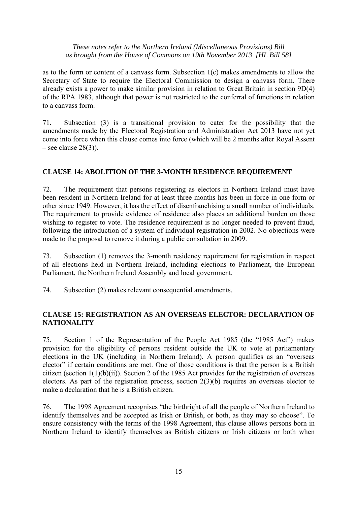as to the form or content of a canvass form. Subsection 1(c) makes amendments to allow the Secretary of State to require the Electoral Commission to design a canvass form. There already exists a power to make similar provision in relation to Great Britain in section 9D(4) of the RPA 1983, although that power is not restricted to the conferral of functions in relation to a canvass form.

71. Subsection (3) is a transitional provision to cater for the possibility that the amendments made by the Electoral Registration and Administration Act 2013 have not yet come into force when this clause comes into force (which will be 2 months after Royal Assent – see clause  $28(3)$ ).

## **CLAUSE 14: ABOLITION OF THE 3-MONTH RESIDENCE REQUIREMENT**

72. The requirement that persons registering as electors in Northern Ireland must have been resident in Northern Ireland for at least three months has been in force in one form or other since 1949. However, it has the effect of disenfranchising a small number of individuals. The requirement to provide evidence of residence also places an additional burden on those wishing to register to vote. The residence requirement is no longer needed to prevent fraud, following the introduction of a system of individual registration in 2002. No objections were made to the proposal to remove it during a public consultation in 2009.

73. Subsection (1) removes the 3-month residency requirement for registration in respect of all elections held in Northern Ireland, including elections to Parliament, the European Parliament, the Northern Ireland Assembly and local government.

74. Subsection (2) makes relevant consequential amendments.

## **CLAUSE 15: REGISTRATION AS AN OVERSEAS ELECTOR: DECLARATION OF NATIONALITY**

75. Section 1 of the Representation of the People Act 1985 (the "1985 Act") makes provision for the eligibility of persons resident outside the UK to vote at parliamentary elections in the UK (including in Northern Ireland). A person qualifies as an "overseas elector" if certain conditions are met. One of those conditions is that the person is a British citizen (section 1(1)(b)(ii)). Section 2 of the 1985 Act provides for the registration of overseas electors. As part of the registration process, section 2(3)(b) requires an overseas elector to make a declaration that he is a British citizen.

76. The 1998 Agreement recognises "the birthright of all the people of Northern Ireland to identify themselves and be accepted as Irish or British, or both, as they may so choose". To ensure consistency with the terms of the 1998 Agreement, this clause allows persons born in Northern Ireland to identify themselves as British citizens or Irish citizens or both when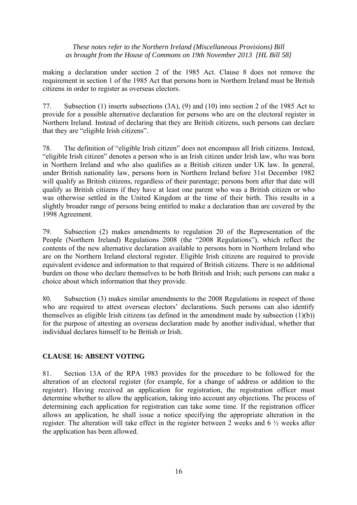making a declaration under section 2 of the 1985 Act. Clause 8 does not remove the requirement in section 1 of the 1985 Act that persons born in Northern Ireland must be British citizens in order to register as overseas electors.

77. Subsection (1) inserts subsections (3A), (9) and (10) into section 2 of the 1985 Act to provide for a possible alternative declaration for persons who are on the electoral register in Northern Ireland. Instead of declaring that they are British citizens, such persons can declare that they are "eligible Irish citizens".

78. The definition of "eligible Irish citizen" does not encompass all Irish citizens. Instead, "eligible Irish citizen" denotes a person who is an Irish citizen under Irish law, who was born in Northern Ireland and who also qualifies as a British citizen under UK law. In general, under British nationality law, persons born in Northern Ireland before 31st December 1982 will qualify as British citizens, regardless of their parentage; persons born after that date will qualify as British citizens if they have at least one parent who was a British citizen or who was otherwise settled in the United Kingdom at the time of their birth. This results in a slightly broader range of persons being entitled to make a declaration than are covered by the 1998 Agreement.

79. Subsection (2) makes amendments to regulation 20 of the Representation of the People (Northern Ireland) Regulations 2008 (the "2008 Regulations"), which reflect the contents of the new alternative declaration available to persons born in Northern Ireland who are on the Northern Ireland electoral register. Eligible Irish citizens are required to provide equivalent evidence and information to that required of British citizens. There is no additional burden on those who declare themselves to be both British and Irish; such persons can make a choice about which information that they provide.

80. Subsection (3) makes similar amendments to the 2008 Regulations in respect of those who are required to attest overseas electors' declarations. Such persons can also identify themselves as eligible Irish citizens (as defined in the amendment made by subsection (1)(b)) for the purpose of attesting an overseas declaration made by another individual, whether that individual declares himself to be British or Irish.

## **CLAUSE 16: ABSENT VOTING**

81. Section 13A of the RPA 1983 provides for the procedure to be followed for the alteration of an electoral register (for example, for a change of address or addition to the register). Having received an application for registration, the registration officer must determine whether to allow the application, taking into account any objections. The process of determining each application for registration can take some time. If the registration officer allows an application, he shall issue a notice specifying the appropriate alteration in the register. The alteration will take effect in the register between 2 weeks and 6 ½ weeks after the application has been allowed.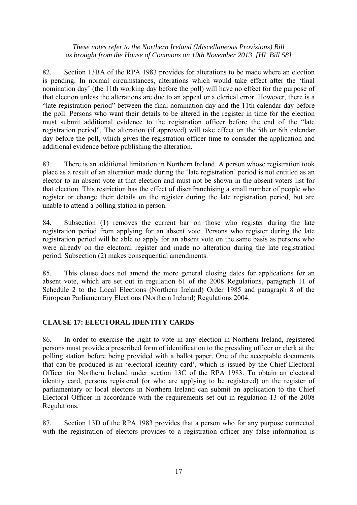82. Section 13BA of the RPA 1983 provides for alterations to be made where an election is pending. In normal circumstances, alterations which would take effect after the 'final nomination day' (the 11th working day before the poll) will have no effect for the purpose of that election unless the alterations are due to an appeal or a clerical error. However, there is a "late registration period" between the final nomination day and the 11th calendar day before the poll. Persons who want their details to be altered in the register in time for the election must submit additional evidence to the registration officer before the end of the "late registration period". The alteration (if approved) will take effect on the 5th or 6th calendar day before the poll, which gives the registration officer time to consider the application and additional evidence before publishing the alteration.

83. There is an additional limitation in Northern Ireland. A person whose registration took place as a result of an alteration made during the 'late registration' period is not entitled as an elector to an absent vote at that election and must not be shown in the absent voters list for that election. This restriction has the effect of disenfranchising a small number of people who register or change their details on the register during the late registration period, but are unable to attend a polling station in person.

84. Subsection (1) removes the current bar on those who register during the late registration period from applying for an absent vote. Persons who register during the late registration period will be able to apply for an absent vote on the same basis as persons who were already on the electoral register and made no alteration during the late registration period. Subsection (2) makes consequential amendments.

85. This clause does not amend the more general closing dates for applications for an absent vote, which are set out in regulation 61 of the 2008 Regulations, paragraph 11 of Schedule 2 to the Local Elections (Northern Ireland) Order 1985 and paragraph 8 of the European Parliamentary Elections (Northern Ireland) Regulations 2004.

# **CLAUSE 17: ELECTORAL IDENTITY CARDS**

86. In order to exercise the right to vote in any election in Northern Ireland, registered persons must provide a prescribed form of identification to the presiding officer or clerk at the polling station before being provided with a ballot paper. One of the acceptable documents that can be produced is an 'electoral identity card', which is issued by the Chief Electoral Officer for Northern Ireland under section 13C of the RPA 1983. To obtain an electoral identity card, persons registered (or who are applying to be registered) on the register of parliamentary or local electors in Northern Ireland can submit an application to the Chief Electoral Officer in accordance with the requirements set out in regulation 13 of the 2008 Regulations.

87. Section 13D of the RPA 1983 provides that a person who for any purpose connected with the registration of electors provides to a registration officer any false information is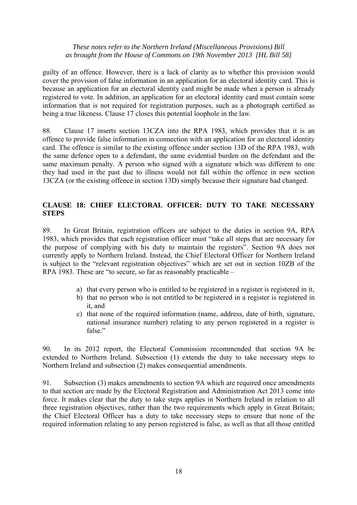guilty of an offence. However, there is a lack of clarity as to whether this provision would cover the provision of false information in an application for an electoral identity card. This is because an application for an electoral identity card might be made when a person is already registered to vote. In addition, an application for an electoral identity card must contain some information that is not required for registration purposes, such as a photograph certified as being a true likeness. Clause 17 closes this potential loophole in the law.

88. Clause 17 inserts section 13CZA into the RPA 1983, which provides that it is an offence to provide false information in connection with an application for an electoral identity card. The offence is similar to the existing offence under section 13D of the RPA 1983, with the same defence open to a defendant, the same evidential burden on the defendant and the same maximum penalty. A person who signed with a signature which was different to one they had used in the past due to illness would not fall within the offence in new section 13CZA (or the existing offence in section 13D) simply because their signature had changed.

## **CLAUSE 18: CHIEF ELECTORAL OFFICER: DUTY TO TAKE NECESSARY STEPS**

89. In Great Britain, registration officers are subject to the duties in section 9A, RPA 1983, which provides that each registration officer must "take all steps that are necessary for the purpose of complying with his duty to maintain the registers". Section 9A does not currently apply to Northern Ireland. Instead, the Chief Electoral Officer for Northern Ireland is subject to the "relevant registration objectives" which are set out in section 10ZB of the RPA 1983. These are "to secure, so far as reasonably practicable –

- a) that every person who is entitled to be registered in a register is registered in it,
- b) that no person who is not entitled to be registered in a register is registered in it, and
- c) that none of the required information (name, address, date of birth, signature, national insurance number) relating to any person registered in a register is false."

90. In its 2012 report, the Electoral Commission recommended that section 9A be extended to Northern Ireland. Subsection (1) extends the duty to take necessary steps to Northern Ireland and subsection (2) makes consequential amendments.

91. Subsection (3) makes amendments to section 9A which are required once amendments to that section are made by the Electoral Registration and Administration Act 2013 come into force. It makes clear that the duty to take steps applies in Northern Ireland in relation to all three registration objectives, rather than the two requirements which apply in Great Britain; the Chief Electoral Officer has a duty to take necessary steps to ensure that none of the required information relating to any person registered is false, as well as that all those entitled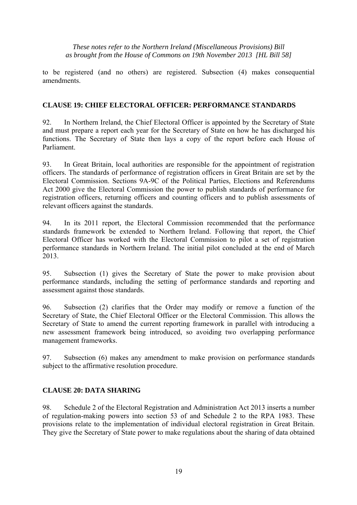to be registered (and no others) are registered. Subsection (4) makes consequential amendments.

#### **CLAUSE 19: CHIEF ELECTORAL OFFICER: PERFORMANCE STANDARDS**

92. In Northern Ireland, the Chief Electoral Officer is appointed by the Secretary of State and must prepare a report each year for the Secretary of State on how he has discharged his functions. The Secretary of State then lays a copy of the report before each House of Parliament.

93. In Great Britain, local authorities are responsible for the appointment of registration officers. The standards of performance of registration officers in Great Britain are set by the Electoral Commission. Sections 9A-9C of the Political Parties, Elections and Referendums Act 2000 give the Electoral Commission the power to publish standards of performance for registration officers, returning officers and counting officers and to publish assessments of relevant officers against the standards.

94. In its 2011 report, the Electoral Commission recommended that the performance standards framework be extended to Northern Ireland. Following that report, the Chief Electoral Officer has worked with the Electoral Commission to pilot a set of registration performance standards in Northern Ireland. The initial pilot concluded at the end of March 2013.

95. Subsection (1) gives the Secretary of State the power to make provision about performance standards, including the setting of performance standards and reporting and assessment against those standards.

96. Subsection (2) clarifies that the Order may modify or remove a function of the Secretary of State, the Chief Electoral Officer or the Electoral Commission. This allows the Secretary of State to amend the current reporting framework in parallel with introducing a new assessment framework being introduced, so avoiding two overlapping performance management frameworks.

97. Subsection (6) makes any amendment to make provision on performance standards subject to the affirmative resolution procedure.

## **CLAUSE 20: DATA SHARING**

98. Schedule 2 of the Electoral Registration and Administration Act 2013 inserts a number of regulation-making powers into section 53 of and Schedule 2 to the RPA 1983. These provisions relate to the implementation of individual electoral registration in Great Britain. They give the Secretary of State power to make regulations about the sharing of data obtained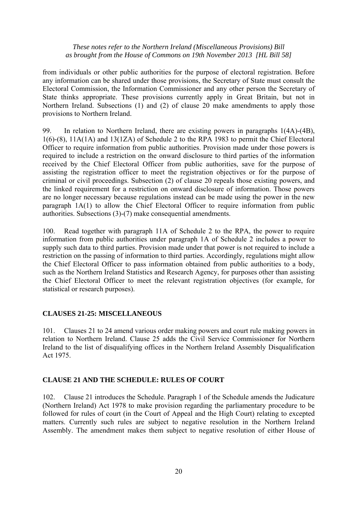from individuals or other public authorities for the purpose of electoral registration. Before any information can be shared under those provisions, the Secretary of State must consult the Electoral Commission, the Information Commissioner and any other person the Secretary of State thinks appropriate. These provisions currently apply in Great Britain, but not in Northern Ireland. Subsections (1) and (2) of clause 20 make amendments to apply those provisions to Northern Ireland.

99. In relation to Northern Ireland, there are existing powers in paragraphs 1(4A)-(4B), 1(6)-(8), 11A(1A) and 13(1ZA) of Schedule 2 to the RPA 1983 to permit the Chief Electoral Officer to require information from public authorities. Provision made under those powers is required to include a restriction on the onward disclosure to third parties of the information received by the Chief Electoral Officer from public authorities, save for the purpose of assisting the registration officer to meet the registration objectives or for the purpose of criminal or civil proceedings. Subsection (2) of clause 20 repeals those existing powers, and the linked requirement for a restriction on onward disclosure of information. Those powers are no longer necessary because regulations instead can be made using the power in the new paragraph 1A(1) to allow the Chief Electoral Officer to require information from public authorities. Subsections (3)-(7) make consequential amendments.

100. Read together with paragraph 11A of Schedule 2 to the RPA, the power to require information from public authorities under paragraph 1A of Schedule 2 includes a power to supply such data to third parties. Provision made under that power is not required to include a restriction on the passing of information to third parties. Accordingly, regulations might allow the Chief Electoral Officer to pass information obtained from public authorities to a body, such as the Northern Ireland Statistics and Research Agency, for purposes other than assisting the Chief Electoral Officer to meet the relevant registration objectives (for example, for statistical or research purposes).

## **CLAUSES 21-25: MISCELLANEOUS**

101. Clauses 21 to 24 amend various order making powers and court rule making powers in relation to Northern Ireland. Clause 25 adds the Civil Service Commissioner for Northern Ireland to the list of disqualifying offices in the Northern Ireland Assembly Disqualification Act 1975.

#### **CLAUSE 21 AND THE SCHEDULE: RULES OF COURT**

102. Clause 21 introduces the Schedule. Paragraph 1 of the Schedule amends the Judicature (Northern Ireland) Act 1978 to make provision regarding the parliamentary procedure to be followed for rules of court (in the Court of Appeal and the High Court) relating to excepted matters. Currently such rules are subject to negative resolution in the Northern Ireland Assembly. The amendment makes them subject to negative resolution of either House of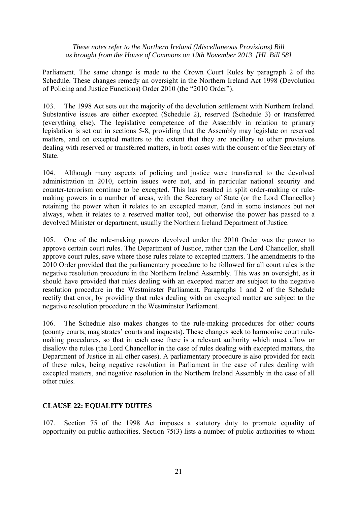Parliament. The same change is made to the Crown Court Rules by paragraph 2 of the Schedule. These changes remedy an oversight in the Northern Ireland Act 1998 (Devolution of Policing and Justice Functions) Order 2010 (the "2010 Order").

103. The 1998 Act sets out the majority of the devolution settlement with Northern Ireland. Substantive issues are either excepted (Schedule 2), reserved (Schedule 3) or transferred (everything else). The legislative competence of the Assembly in relation to primary legislation is set out in sections 5-8, providing that the Assembly may legislate on reserved matters, and on excepted matters to the extent that they are ancillary to other provisions dealing with reserved or transferred matters, in both cases with the consent of the Secretary of State.

104. Although many aspects of policing and justice were transferred to the devolved administration in 2010, certain issues were not, and in particular national security and counter-terrorism continue to be excepted. This has resulted in split order-making or rulemaking powers in a number of areas, with the Secretary of State (or the Lord Chancellor) retaining the power when it relates to an excepted matter, (and in some instances but not always, when it relates to a reserved matter too), but otherwise the power has passed to a devolved Minister or department, usually the Northern Ireland Department of Justice.

105. One of the rule-making powers devolved under the 2010 Order was the power to approve certain court rules. The Department of Justice, rather than the Lord Chancellor, shall approve court rules, save where those rules relate to excepted matters. The amendments to the 2010 Order provided that the parliamentary procedure to be followed for all court rules is the negative resolution procedure in the Northern Ireland Assembly. This was an oversight, as it should have provided that rules dealing with an excepted matter are subject to the negative resolution procedure in the Westminster Parliament. Paragraphs 1 and 2 of the Schedule rectify that error, by providing that rules dealing with an excepted matter are subject to the negative resolution procedure in the Westminster Parliament.

106. The Schedule also makes changes to the rule-making procedures for other courts (county courts, magistrates' courts and inquests). These changes seek to harmonise court rulemaking procedures, so that in each case there is a relevant authority which must allow or disallow the rules (the Lord Chancellor in the case of rules dealing with excepted matters, the Department of Justice in all other cases). A parliamentary procedure is also provided for each of these rules, being negative resolution in Parliament in the case of rules dealing with excepted matters, and negative resolution in the Northern Ireland Assembly in the case of all other rules.

## **CLAUSE 22: EQUALITY DUTIES**

107. Section 75 of the 1998 Act imposes a statutory duty to promote equality of opportunity on public authorities. Section 75(3) lists a number of public authorities to whom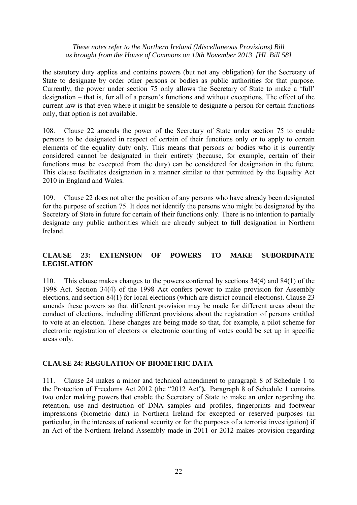the statutory duty applies and contains powers (but not any obligation) for the Secretary of State to designate by order other persons or bodies as public authorities for that purpose. Currently, the power under section 75 only allows the Secretary of State to make a 'full' designation – that is, for all of a person's functions and without exceptions. The effect of the current law is that even where it might be sensible to designate a person for certain functions only, that option is not available.

108. Clause 22 amends the power of the Secretary of State under section 75 to enable persons to be designated in respect of certain of their functions only or to apply to certain elements of the equality duty only. This means that persons or bodies who it is currently considered cannot be designated in their entirety (because, for example, certain of their functions must be excepted from the duty) can be considered for designation in the future. This clause facilitates designation in a manner similar to that permitted by the Equality Act 2010 in England and Wales.

109. Clause 22 does not alter the position of any persons who have already been designated for the purpose of section 75. It does not identify the persons who might be designated by the Secretary of State in future for certain of their functions only. There is no intention to partially designate any public authorities which are already subject to full designation in Northern Ireland.

## **CLAUSE 23: EXTENSION OF POWERS TO MAKE SUBORDINATE LEGISLATION**

110. This clause makes changes to the powers conferred by sections 34(4) and 84(1) of the 1998 Act. Section 34(4) of the 1998 Act confers power to make provision for Assembly elections, and section 84(1) for local elections (which are district council elections). Clause 23 amends these powers so that different provision may be made for different areas about the conduct of elections, including different provisions about the registration of persons entitled to vote at an election. These changes are being made so that, for example, a pilot scheme for electronic registration of electors or electronic counting of votes could be set up in specific areas only.

## **CLAUSE 24: REGULATION OF BIOMETRIC DATA**

111. Clause 24 makes a minor and technical amendment to paragraph 8 of Schedule 1 to the Protection of Freedoms Act 2012 (the "2012 Act"**).** Paragraph 8 of Schedule 1 contains two order making powers that enable the Secretary of State to make an order regarding the retention, use and destruction of DNA samples and profiles, fingerprints and footwear impressions (biometric data) in Northern Ireland for excepted or reserved purposes (in particular, in the interests of national security or for the purposes of a terrorist investigation) if an Act of the Northern Ireland Assembly made in 2011 or 2012 makes provision regarding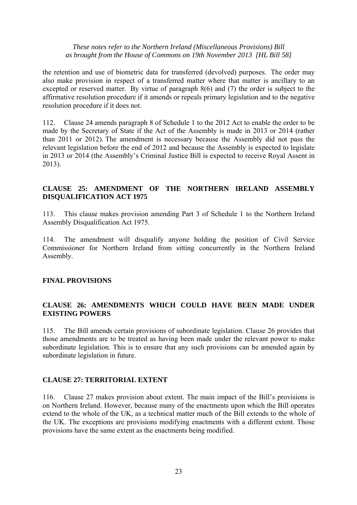the retention and use of biometric data for transferred (devolved) purposes. The order may also make provision in respect of a transferred matter where that matter is ancillary to an excepted or reserved matter. By virtue of paragraph 8(6) and (7) the order is subject to the affirmative resolution procedure if it amends or repeals primary legislation and to the negative resolution procedure if it does not.

112. Clause 24 amends paragraph 8 of Schedule 1 to the 2012 Act to enable the order to be made by the Secretary of State if the Act of the Assembly is made in 2013 or 2014 (rather than 2011 or 2012). The amendment is necessary because the Assembly did not pass the relevant legislation before the end of 2012 and because the Assembly is expected to legislate in 2013 or 2014 (the Assembly's Criminal Justice Bill is expected to receive Royal Assent in 2013).

## **CLAUSE 25: AMENDMENT OF THE NORTHERN IRELAND ASSEMBLY DISQUALIFICATION ACT 1975**

113. This clause makes provision amending Part 3 of Schedule 1 to the Northern Ireland Assembly Disqualification Act 1975.

114. The amendment will disqualify anyone holding the position of Civil Service Commissioner for Northern Ireland from sitting concurrently in the Northern Ireland Assembly.

## **FINAL PROVISIONS**

## **CLAUSE 26: AMENDMENTS WHICH COULD HAVE BEEN MADE UNDER EXISTING POWERS**

115. The Bill amends certain provisions of subordinate legislation. Clause 26 provides that those amendments are to be treated as having been made under the relevant power to make subordinate legislation. This is to ensure that any such provisions can be amended again by subordinate legislation in future.

#### **CLAUSE 27: TERRITORIAL EXTENT**

116. Clause 27 makes provision about extent. The main impact of the Bill's provisions is on Northern Ireland. However, because many of the enactments upon which the Bill operates extend to the whole of the UK, as a technical matter much of the Bill extends to the whole of the UK. The exceptions are provisions modifying enactments with a different extent. Those provisions have the same extent as the enactments being modified.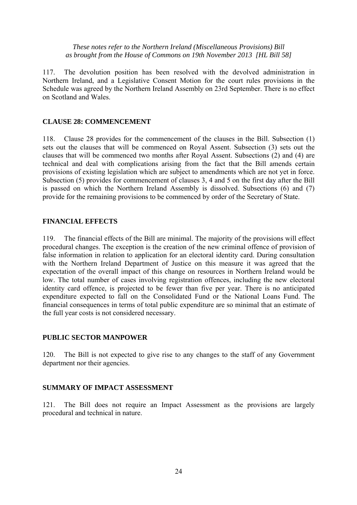117. The devolution position has been resolved with the devolved administration in Northern Ireland, and a Legislative Consent Motion for the court rules provisions in the Schedule was agreed by the Northern Ireland Assembly on 23rd September. There is no effect on Scotland and Wales.

## **CLAUSE 28: COMMENCEMENT**

118. Clause 28 provides for the commencement of the clauses in the Bill. Subsection (1) sets out the clauses that will be commenced on Royal Assent. Subsection (3) sets out the clauses that will be commenced two months after Royal Assent. Subsections (2) and (4) are technical and deal with complications arising from the fact that the Bill amends certain provisions of existing legislation which are subject to amendments which are not yet in force. Subsection (5) provides for commencement of clauses 3, 4 and 5 on the first day after the Bill is passed on which the Northern Ireland Assembly is dissolved. Subsections (6) and (7) provide for the remaining provisions to be commenced by order of the Secretary of State.

#### **FINANCIAL EFFECTS**

119. The financial effects of the Bill are minimal. The majority of the provisions will effect procedural changes. The exception is the creation of the new criminal offence of provision of false information in relation to application for an electoral identity card. During consultation with the Northern Ireland Department of Justice on this measure it was agreed that the expectation of the overall impact of this change on resources in Northern Ireland would be low. The total number of cases involving registration offences, including the new electoral identity card offence, is projected to be fewer than five per year. There is no anticipated expenditure expected to fall on the Consolidated Fund or the National Loans Fund. The financial consequences in terms of total public expenditure are so minimal that an estimate of the full year costs is not considered necessary.

## **PUBLIC SECTOR MANPOWER**

120. The Bill is not expected to give rise to any changes to the staff of any Government department nor their agencies.

## **SUMMARY OF IMPACT ASSESSMENT**

121. The Bill does not require an Impact Assessment as the provisions are largely procedural and technical in nature.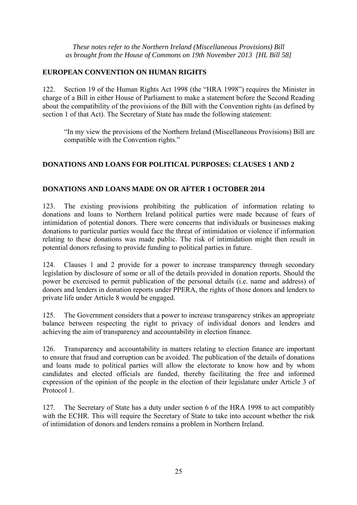## **EUROPEAN CONVENTION ON HUMAN RIGHTS**

122. Section 19 of the Human Rights Act 1998 (the "HRA 1998") requires the Minister in charge of a Bill in either House of Parliament to make a statement before the Second Reading about the compatibility of the provisions of the Bill with the Convention rights (as defined by section 1 of that Act). The Secretary of State has made the following statement:

"In my view the provisions of the Northern Ireland (Miscellaneous Provisions) Bill are compatible with the Convention rights."

# **DONATIONS AND LOANS FOR POLITICAL PURPOSES: CLAUSES 1 AND 2**

## **DONATIONS AND LOANS MADE ON OR AFTER 1 OCTOBER 2014**

123. The existing provisions prohibiting the publication of information relating to donations and loans to Northern Ireland political parties were made because of fears of intimidation of potential donors. There were concerns that individuals or businesses making donations to particular parties would face the threat of intimidation or violence if information relating to these donations was made public. The risk of intimidation might then result in potential donors refusing to provide funding to political parties in future.

124. Clauses 1 and 2 provide for a power to increase transparency through secondary legislation by disclosure of some or all of the details provided in donation reports. Should the power be exercised to permit publication of the personal details (i.e. name and address) of donors and lenders in donation reports under PPERA, the rights of those donors and lenders to private life under Article 8 would be engaged.

125. The Government considers that a power to increase transparency strikes an appropriate balance between respecting the right to privacy of individual donors and lenders and achieving the aim of transparency and accountability in election finance.

126. Transparency and accountability in matters relating to election finance are important to ensure that fraud and corruption can be avoided. The publication of the details of donations and loans made to political parties will allow the electorate to know how and by whom candidates and elected officials are funded, thereby facilitating the free and informed expression of the opinion of the people in the election of their legislature under Article 3 of Protocol 1.

127. The Secretary of State has a duty under section 6 of the HRA 1998 to act compatibly with the ECHR. This will require the Secretary of State to take into account whether the risk of intimidation of donors and lenders remains a problem in Northern Ireland.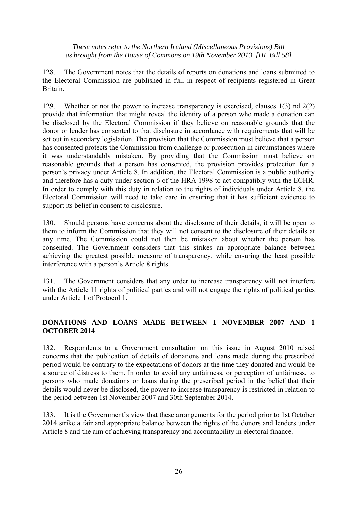128. The Government notes that the details of reports on donations and loans submitted to the Electoral Commission are published in full in respect of recipients registered in Great Britain.

129. Whether or not the power to increase transparency is exercised, clauses 1(3) nd 2(2) provide that information that might reveal the identity of a person who made a donation can be disclosed by the Electoral Commission if they believe on reasonable grounds that the donor or lender has consented to that disclosure in accordance with requirements that will be set out in secondary legislation. The provision that the Commission must believe that a person has consented protects the Commission from challenge or prosecution in circumstances where it was understandably mistaken. By providing that the Commission must believe on reasonable grounds that a person has consented, the provision provides protection for a person's privacy under Article 8. In addition, the Electoral Commission is a public authority and therefore has a duty under section 6 of the HRA 1998 to act compatibly with the ECHR. In order to comply with this duty in relation to the rights of individuals under Article 8, the Electoral Commission will need to take care in ensuring that it has sufficient evidence to support its belief in consent to disclosure.

130. Should persons have concerns about the disclosure of their details, it will be open to them to inform the Commission that they will not consent to the disclosure of their details at any time. The Commission could not then be mistaken about whether the person has consented. The Government considers that this strikes an appropriate balance between achieving the greatest possible measure of transparency, while ensuring the least possible interference with a person's Article 8 rights.

131. The Government considers that any order to increase transparency will not interfere with the Article 11 rights of political parties and will not engage the rights of political parties under Article 1 of Protocol 1.

# **DONATIONS AND LOANS MADE BETWEEN 1 NOVEMBER 2007 AND 1 OCTOBER 2014**

132. Respondents to a Government consultation on this issue in August 2010 raised concerns that the publication of details of donations and loans made during the prescribed period would be contrary to the expectations of donors at the time they donated and would be a source of distress to them. In order to avoid any unfairness, or perception of unfairness, to persons who made donations or loans during the prescribed period in the belief that their details would never be disclosed, the power to increase transparency is restricted in relation to the period between 1st November 2007 and 30th September 2014.

133. It is the Government's view that these arrangements for the period prior to 1st October 2014 strike a fair and appropriate balance between the rights of the donors and lenders under Article 8 and the aim of achieving transparency and accountability in electoral finance.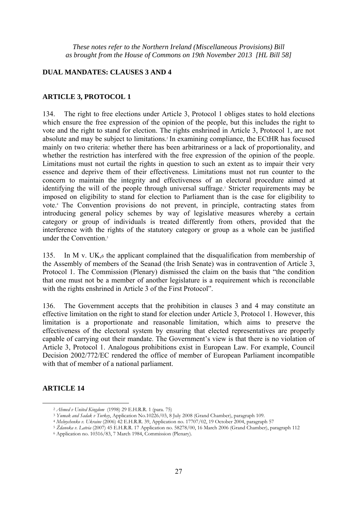#### **DUAL MANDATES: CLAUSES 3 AND 4**

#### **ARTICLE 3, PROTOCOL 1**

134. The right to free elections under Article 3, Protocol 1 obliges states to hold elections which ensure the free expression of the opinion of the people, but this includes the right to vote and the right to stand for election. The rights enshrined in Article 3, Protocol 1, are not absolute and may be subject to limitations.2 In examining compliance, the ECtHR has focused mainly on two criteria: whether there has been arbitrariness or a lack of proportionality, and whether the restriction has interfered with the free expression of the opinion of the people. Limitations must not curtail the rights in question to such an extent as to impair their very essence and deprive them of their effectiveness. Limitations must not run counter to the concern to maintain the integrity and effectiveness of an electoral procedure aimed at identifying the will of the people through universal suffrage.<sup>3</sup> Stricter requirements may be imposed on eligibility to stand for election to Parliament than is the case for eligibility to vote.4 The Convention provisions do not prevent, in principle, contracting states from introducing general policy schemes by way of legislative measures whereby a certain category or group of individuals is treated differently from others, provided that the interference with the rights of the statutory category or group as a whole can be justified under the Convention.<sup>5</sup>

135. In M v. UK,6 the applicant complained that the disqualification from membership of the Assembly of members of the Seanad (the Irish Senate) was in contravention of Article 3, Protocol 1. The Commission (Plenary) dismissed the claim on the basis that "the condition that one must not be a member of another legislature is a requirement which is reconcilable with the rights enshrined in Article 3 of the First Protocol".

136. The Government accepts that the prohibition in clauses 3 and 4 may constitute an effective limitation on the right to stand for election under Article 3, Protocol 1. However, this limitation is a proportionate and reasonable limitation, which aims to preserve the effectiveness of the electoral system by ensuring that elected representatives are properly capable of carrying out their mandate. The Government's view is that there is no violation of Article 3, Protocol 1. Analogous prohibitions exist in European Law. For example, Council Decision 2002/772/EC rendered the office of member of European Parliament incompatible with that of member of a national parliament.

## **ARTICLE 14**

 $\overline{a}$ 

<sup>&</sup>lt;sup>2</sup> Ahmed v United Kingdom (1998) 29 E.H.R.R. 1 (para. 75)<br>
<sup>3</sup> Yumak and Sadak v Turkey, Application No.10226/03, 8 July 2008 (Grand Chamber), paragraph 109.<br>
<sup>4</sup> Melnychenko v. Ukraine (2006) 42 E.H.R.R. 39, Application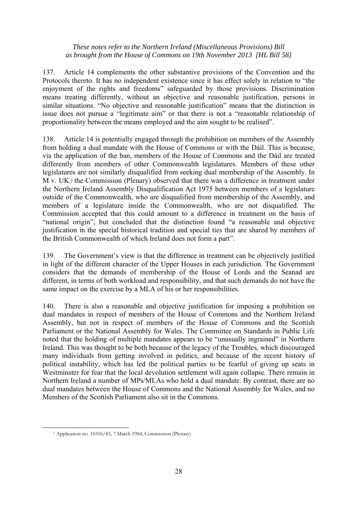137. Article 14 complements the other substantive provisions of the Convention and the Protocols thereto. It has no independent existence since it has effect solely in relation to "the enjoyment of the rights and freedoms" safeguarded by those provisions. Discrimination means treating differently, without an objective and reasonable justification, persons in similar situations. "No objective and reasonable justification" means that the distinction in issue does not pursue a "legitimate aim" or that there is not a "reasonable relationship of proportionality between the means employed and the aim sought to be realised".

138. Article 14 is potentially engaged through the prohibition on members of the Assembly from holding a dual mandate with the House of Commons or with the Dáil. This is because, via the application of the ban, members of the House of Commons and the Dáil are treated differently from members of other Commonwealth legislatures. Members of these other legislatures are not similarly disqualified from seeking dual membership of the Assembly. In M v. UK,7 the Commission (Plenary) observed that there was a difference in treatment under the Northern Ireland Assembly Disqualification Act 1975 between members of a legislature outside of the Commonwealth, who are disqualified from membership of the Assembly, and members of a legislature inside the Commonwealth, who are not disqualified. The Commission accepted that this could amount to a difference in treatment on the basis of "national origin", but concluded that the distinction found "a reasonable and objective justification in the special historical tradition and special ties that are shared by members of the British Commonwealth of which Ireland does not form a part".

139. The Government's view is that the difference in treatment can be objectively justified in light of the different character of the Upper Houses in each jurisdiction. The Government considers that the demands of membership of the House of Lords and the Seanad are different, in terms of both workload and responsibility, and that such demands do not have the same impact on the exercise by a MLA of his or her responsibilities.

140. There is also a reasonable and objective justification for imposing a prohibition on dual mandates in respect of members of the House of Commons and the Northern Ireland Assembly, but not in respect of members of the House of Commons and the Scottish Parliament or the National Assembly for Wales. The Committee on Standards in Public Life noted that the holding of multiple mandates appears to be "unusually ingrained" in Northern Ireland. This was thought to be both because of the legacy of the Troubles, which discouraged many individuals from getting involved in politics, and because of the recent history of political instability, which has led the political parties to be fearful of giving up seats in Westminster for fear that the local devolution settlement will again collapse. There remain in Northern Ireland a number of MPs/MLAs who hold a dual mandate. By contrast, there are no dual mandates between the House of Commons and the National Assembly for Wales, and no Members of the Scottish Parliament also sit in the Commons.

 $\overline{a}$ 

<sup>7</sup> Application no. 10316/83, 7 March 1984, Commission (Plenary)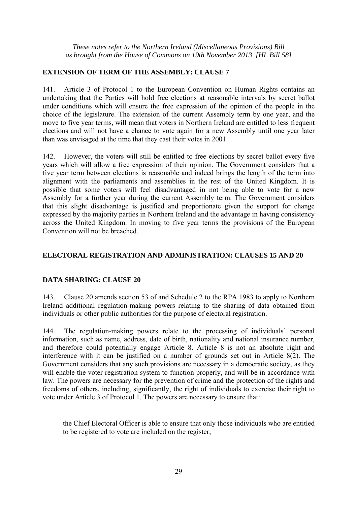## **EXTENSION OF TERM OF THE ASSEMBLY: CLAUSE 7**

141. Article 3 of Protocol 1 to the European Convention on Human Rights contains an undertaking that the Parties will hold free elections at reasonable intervals by secret ballot under conditions which will ensure the free expression of the opinion of the people in the choice of the legislature. The extension of the current Assembly term by one year, and the move to five year terms, will mean that voters in Northern Ireland are entitled to less frequent elections and will not have a chance to vote again for a new Assembly until one year later than was envisaged at the time that they cast their votes in 2001.

142. However, the voters will still be entitled to free elections by secret ballot every five years which will allow a free expression of their opinion. The Government considers that a five year term between elections is reasonable and indeed brings the length of the term into alignment with the parliaments and assemblies in the rest of the United Kingdom. It is possible that some voters will feel disadvantaged in not being able to vote for a new Assembly for a further year during the current Assembly term. The Government considers that this slight disadvantage is justified and proportionate given the support for change expressed by the majority parties in Northern Ireland and the advantage in having consistency across the United Kingdom. In moving to five year terms the provisions of the European Convention will not be breached.

## **ELECTORAL REGISTRATION AND ADMINISTRATION: CLAUSES 15 AND 20**

## **DATA SHARING: CLAUSE 20**

143. Clause 20 amends section 53 of and Schedule 2 to the RPA 1983 to apply to Northern Ireland additional regulation-making powers relating to the sharing of data obtained from individuals or other public authorities for the purpose of electoral registration.

144. The regulation-making powers relate to the processing of individuals' personal information, such as name, address, date of birth, nationality and national insurance number, and therefore could potentially engage Article 8. Article 8 is not an absolute right and interference with it can be justified on a number of grounds set out in Article 8(2). The Government considers that any such provisions are necessary in a democratic society, as they will enable the voter registration system to function properly, and will be in accordance with law. The powers are necessary for the prevention of crime and the protection of the rights and freedoms of others, including, significantly, the right of individuals to exercise their right to vote under Article 3 of Protocol 1. The powers are necessary to ensure that:

the Chief Electoral Officer is able to ensure that only those individuals who are entitled to be registered to vote are included on the register;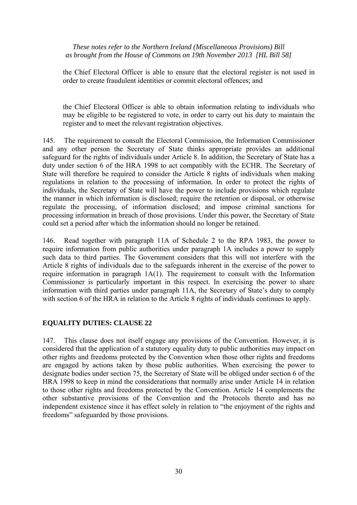the Chief Electoral Officer is able to ensure that the electoral register is not used in order to create fraudulent identities or commit electoral offences; and

the Chief Electoral Officer is able to obtain information relating to individuals who may be eligible to be registered to vote, in order to carry out his duty to maintain the register and to meet the relevant registration objectives.

145. The requirement to consult the Electoral Commission, the Information Commissioner and any other person the Secretary of State thinks appropriate provides an additional safeguard for the rights of individuals under Article 8. In addition, the Secretary of State has a duty under section 6 of the HRA 1998 to act compatibly with the ECHR. The Secretary of State will therefore be required to consider the Article 8 rights of individuals when making regulations in relation to the processing of information. In order to protect the rights of individuals, the Secretary of State will have the power to include provisions which regulate the manner in which information is disclosed; require the retention or disposal, or otherwise regulate the processing, of information disclosed; and impose criminal sanctions for processing information in breach of those provisions. Under this power, the Secretary of State could set a period after which the information should no longer be retained.

146. Read together with paragraph 11A of Schedule 2 to the RPA 1983, the power to require information from public authorities under paragraph 1A includes a power to supply such data to third parties. The Government considers that this will not interfere with the Article 8 rights of individuals due to the safeguards inherent in the exercise of the power to require information in paragraph 1A(1). The requirement to consult with the Information Commissioner is particularly important in this respect. In exercising the power to share information with third parties under paragraph 11A, the Secretary of State's duty to comply with section 6 of the HRA in relation to the Article 8 rights of individuals continues to apply.

## **EQUALITY DUTIES: CLAUSE 22**

147. This clause does not itself engage any provisions of the Convention. However, it is considered that the application of a statutory equality duty to public authorities may impact on other rights and freedoms protected by the Convention when those other rights and freedoms are engaged by actions taken by those public authorities. When exercising the power to designate bodies under section 75, the Secretary of State will be obliged under section 6 of the HRA 1998 to keep in mind the considerations that normally arise under Article 14 in relation to those other rights and freedoms protected by the Convention. Article 14 complements the other substantive provisions of the Convention and the Protocols thereto and has no independent existence since it has effect solely in relation to "the enjoyment of the rights and freedoms" safeguarded by those provisions.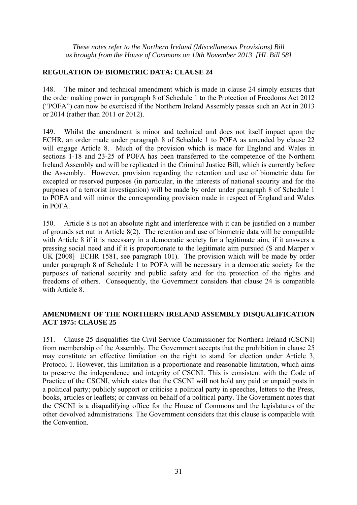## **REGULATION OF BIOMETRIC DATA: CLAUSE 24**

148. The minor and technical amendment which is made in clause 24 simply ensures that the order making power in paragraph 8 of Schedule 1 to the Protection of Freedoms Act 2012 ("POFA") can now be exercised if the Northern Ireland Assembly passes such an Act in 2013 or 2014 (rather than 2011 or 2012).

149. Whilst the amendment is minor and technical and does not itself impact upon the ECHR, an order made under paragraph 8 of Schedule 1 to POFA as amended by clause 22 will engage Article 8. Much of the provision which is made for England and Wales in sections 1-18 and 23-25 of POFA has been transferred to the competence of the Northern Ireland Assembly and will be replicated in the Criminal Justice Bill, which is currently before the Assembly. However, provision regarding the retention and use of biometric data for excepted or reserved purposes (in particular, in the interests of national security and for the purposes of a terrorist investigation) will be made by order under paragraph 8 of Schedule 1 to POFA and will mirror the corresponding provision made in respect of England and Wales in POFA.

150. Article 8 is not an absolute right and interference with it can be justified on a number of grounds set out in Article 8(2). The retention and use of biometric data will be compatible with Article 8 if it is necessary in a democratic society for a legitimate aim, if it answers a pressing social need and if it is proportionate to the legitimate aim pursued (S and Marper v UK [2008] ECHR 1581, see paragraph 101). The provision which will be made by order under paragraph 8 of Schedule 1 to POFA will be necessary in a democratic society for the purposes of national security and public safety and for the protection of the rights and freedoms of others. Consequently, the Government considers that clause 24 is compatible with Article 8.

## **AMENDMENT OF THE NORTHERN IRELAND ASSEMBLY DISQUALIFICATION ACT 1975: CLAUSE 25**

151. Clause 25 disqualifies the Civil Service Commissioner for Northern Ireland (CSCNI) from membership of the Assembly. The Government accepts that the prohibition in clause 25 may constitute an effective limitation on the right to stand for election under Article 3, Protocol 1. However, this limitation is a proportionate and reasonable limitation, which aims to preserve the independence and integrity of CSCNI. This is consistent with the Code of Practice of the CSCNI, which states that the CSCNI will not hold any paid or unpaid posts in a political party; publicly support or criticise a political party in speeches, letters to the Press, books, articles or leaflets; or canvass on behalf of a political party. The Government notes that the CSCNI is a disqualifying office for the House of Commons and the legislatures of the other devolved administrations. The Government considers that this clause is compatible with the Convention.